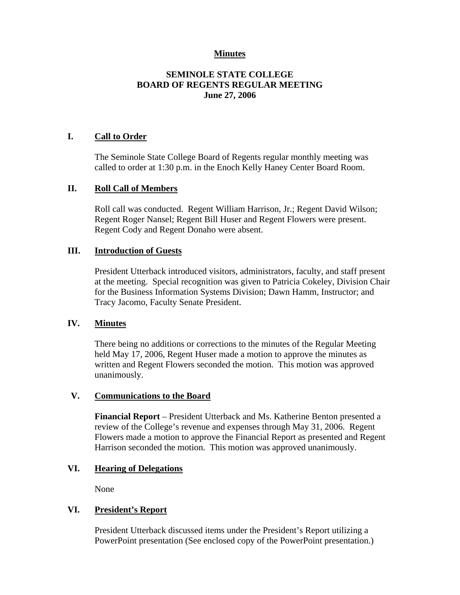## **Minutes**

# **SEMINOLE STATE COLLEGE BOARD OF REGENTS REGULAR MEETING June 27, 2006**

## **I. Call to Order**

The Seminole State College Board of Regents regular monthly meeting was called to order at 1:30 p.m. in the Enoch Kelly Haney Center Board Room.

### **II. Roll Call of Members**

Roll call was conducted. Regent William Harrison, Jr.; Regent David Wilson; Regent Roger Nansel; Regent Bill Huser and Regent Flowers were present. Regent Cody and Regent Donaho were absent.

#### **III. Introduction of Guests**

President Utterback introduced visitors, administrators, faculty, and staff present at the meeting. Special recognition was given to Patricia Cokeley, Division Chair for the Business Information Systems Division; Dawn Hamm, Instructor; and Tracy Jacomo, Faculty Senate President.

### **IV. Minutes**

There being no additions or corrections to the minutes of the Regular Meeting held May 17, 2006, Regent Huser made a motion to approve the minutes as written and Regent Flowers seconded the motion. This motion was approved unanimously.

### **V. Communications to the Board**

**Financial Report** – President Utterback and Ms. Katherine Benton presented a review of the College's revenue and expenses through May 31, 2006. Regent Flowers made a motion to approve the Financial Report as presented and Regent Harrison seconded the motion. This motion was approved unanimously.

### **VI. Hearing of Delegations**

None

## **VI. President's Report**

President Utterback discussed items under the President's Report utilizing a PowerPoint presentation (See enclosed copy of the PowerPoint presentation.)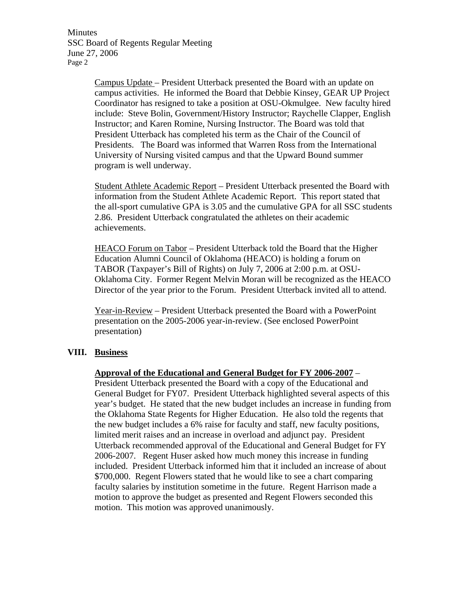Minutes SSC Board of Regents Regular Meeting June 27, 2006 Page 2

> Campus Update – President Utterback presented the Board with an update on campus activities. He informed the Board that Debbie Kinsey, GEAR UP Project Coordinator has resigned to take a position at OSU-Okmulgee. New faculty hired include: Steve Bolin, Government/History Instructor; Raychelle Clapper, English Instructor; and Karen Romine, Nursing Instructor. The Board was told that President Utterback has completed his term as the Chair of the Council of Presidents. The Board was informed that Warren Ross from the International University of Nursing visited campus and that the Upward Bound summer program is well underway.

> Student Athlete Academic Report – President Utterback presented the Board with information from the Student Athlete Academic Report. This report stated that the all-sport cumulative GPA is 3.05 and the cumulative GPA for all SSC students 2.86. President Utterback congratulated the athletes on their academic achievements.

> HEACO Forum on Tabor – President Utterback told the Board that the Higher Education Alumni Council of Oklahoma (HEACO) is holding a forum on TABOR (Taxpayer's Bill of Rights) on July 7, 2006 at 2:00 p.m. at OSU-Oklahoma City. Former Regent Melvin Moran will be recognized as the HEACO Director of the year prior to the Forum. President Utterback invited all to attend.

Year-in-Review – President Utterback presented the Board with a PowerPoint presentation on the 2005-2006 year-in-review. (See enclosed PowerPoint presentation)

#### **VIII. Business**

#### **Approval of the Educational and General Budget for FY 2006-2007** –

President Utterback presented the Board with a copy of the Educational and General Budget for FY07. President Utterback highlighted several aspects of this year's budget. He stated that the new budget includes an increase in funding from the Oklahoma State Regents for Higher Education. He also told the regents that the new budget includes a 6% raise for faculty and staff, new faculty positions, limited merit raises and an increase in overload and adjunct pay. President Utterback recommended approval of the Educational and General Budget for FY 2006-2007. Regent Huser asked how much money this increase in funding included. President Utterback informed him that it included an increase of about \$700,000. Regent Flowers stated that he would like to see a chart comparing faculty salaries by institution sometime in the future. Regent Harrison made a motion to approve the budget as presented and Regent Flowers seconded this motion. This motion was approved unanimously.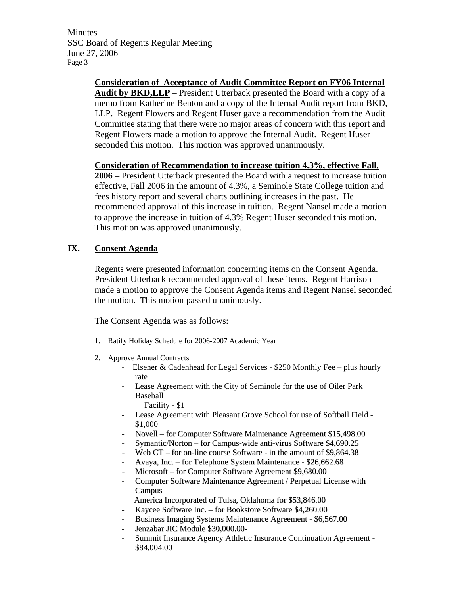Minutes SSC Board of Regents Regular Meeting June 27, 2006 Page 3

> **Consideration of Acceptance of Audit Committee Report on FY06 Internal Audit by BKD,LLP** – President Utterback presented the Board with a copy of a memo from Katherine Benton and a copy of the Internal Audit report from BKD, LLP. Regent Flowers and Regent Huser gave a recommendation from the Audit Committee stating that there were no major areas of concern with this report and Regent Flowers made a motion to approve the Internal Audit. Regent Huser seconded this motion. This motion was approved unanimously.

> **Consideration of Recommendation to increase tuition 4.3%, effective Fall, 2006** – President Utterback presented the Board with a request to increase tuition effective, Fall 2006 in the amount of 4.3%, a Seminole State College tuition and fees history report and several charts outlining increases in the past. He recommended approval of this increase in tuition. Regent Nansel made a motion to approve the increase in tuition of 4.3% Regent Huser seconded this motion. This motion was approved unanimously.

## **IX. Consent Agenda**

Regents were presented information concerning items on the Consent Agenda. President Utterback recommended approval of these items. Regent Harrison made a motion to approve the Consent Agenda items and Regent Nansel seconded the motion. This motion passed unanimously.

The Consent Agenda was as follows:

- 1. Ratify Holiday Schedule for 2006-2007 Academic Year
- 2. Approve Annual Contracts
	- Elsener & Cadenhead for Legal Services \$250 Monthly Fee plus hourly rate
	- Lease Agreement with the City of Seminole for the use of Oiler Park Baseball
		- Facility \$1
	- Lease Agreement with Pleasant Grove School for use of Softball Field \$1,000
	- Novell for Computer Software Maintenance Agreement \$15,498.00
	- Symantic/Norton for Campus-wide anti-virus Software \$4,690.25
	- Web  $CT -$  for on-line course Software in the amount of \$9,864.38
	- Avaya, Inc. for Telephone System Maintenance \$26,662.68
	- Microsoft for Computer Software Agreement \$9,680.00
	- Computer Software Maintenance Agreement / Perpetual License with Campus
		- America Incorporated of Tulsa, Oklahoma for \$53,846.00
	- Kaycee Software Inc. for Bookstore Software \$4,260.00
	- Business Imaging Systems Maintenance Agreement \$6,567.00
	- Jenzabar JIC Module \$30,000.00
	- Summit Insurance Agency Athletic Insurance Continuation Agreement \$84,004.00